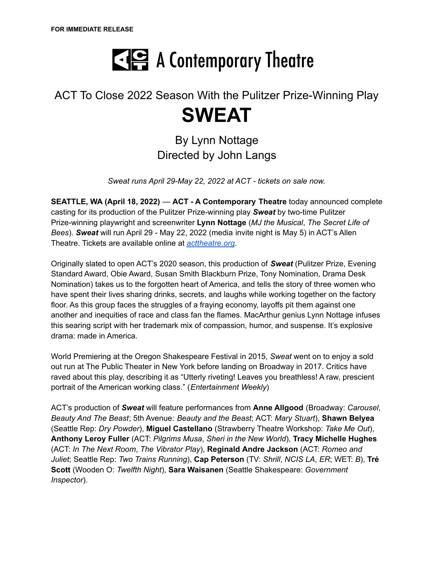

# ACT To Close 2022 Season With the Pulitzer Prize-Winning Play **SWEAT**

By Lynn Nottage Directed by John Langs

*Sweat runs April 29-May 22, 2022 at ACT - tickets on sale now.*

**SEATTLE, WA (April 18, 2022)** — **ACT - A Contemporary Theatre** today announced complete casting for its production of the Pulitzer Prize-winning play *Sweat* by two-time Pulitzer Prize-winning playwright and screenwriter **Lynn Nottage** (*MJ the Musical*, *The Secret Life of Bees*). *Sweat* will run April 29 - May 22, 2022 (media invite night is May 5) in ACT's Allen Theatre. Tickets are available online at *[acttheatre.org](https://order.acttheatre.org/events)*.

Originally slated to open ACT's 2020 season, this production of *Sweat* (Pulitzer Prize, Evening Standard Award, Obie Award, Susan Smith Blackburn Prize, Tony Nomination, Drama Desk Nomination) takes us to the forgotten heart of America, and tells the story of three women who have spent their lives sharing drinks, secrets, and laughs while working together on the factory floor. As this group faces the struggles of a fraying economy, layoffs pit them against one another and inequities of race and class fan the flames. MacArthur genius Lynn Nottage infuses this searing script with her trademark mix of compassion, humor, and suspense. It's explosive drama: made in America.

World Premiering at the Oregon Shakespeare Festival in 2015, *Sweat* went on to enjoy a sold out run at The Public Theater in New York before landing on Broadway in 2017. Critics have raved about this play, describing it as "Utterly riveting! Leaves you breathless! A raw, prescient portrait of the American working class." (*Entertainment Weekly*)

ACT's production of *Sweat* will feature performances from **Anne Allgood** (Broadway: *Carousel*, *Beauty And The Beast*; 5th Avenue: *Beauty and the Beast*; ACT: *Mary Stuart*), **Shawn Belyea** (Seattle Rep: *Dry Powder*), **Miguel Castellano** (Strawberry Theatre Workshop: *Take Me Out*), **Anthony Leroy Fuller** (ACT: *Pilgrims Musa*, *Sheri in the New World*), **Tracy Michelle Hughes** (ACT: *In The Next Room*, *The Vibrator Play*), **Reginald Andre Jackson** (ACT: *Romeo and Juliet*; Seattle Rep: *Two Trains Running*), **Cap Peterson** (TV: *Shrill*, *NCIS LA*, *ER*; WET: *B*), **Tré Scott** (Wooden O: *Twelfth Night*), **Sara Waisanen** (Seattle Shakespeare: *Government Inspector*).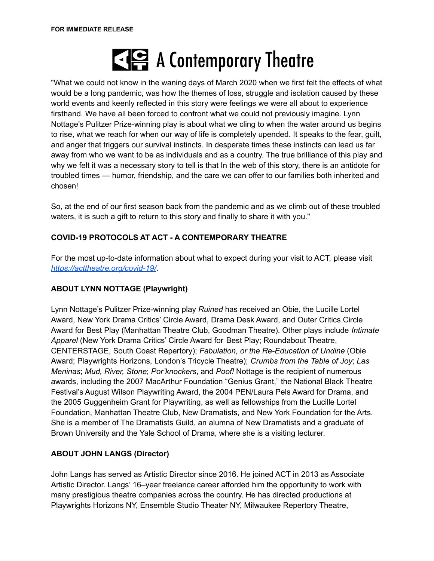

"What we could not know in the waning days of March 2020 when we first felt the effects of what would be a long pandemic, was how the themes of loss, struggle and isolation caused by these world events and keenly reflected in this story were feelings we were all about to experience firsthand. We have all been forced to confront what we could not previously imagine. Lynn Nottage's Pulitzer Prize-winning play is about what we cling to when the water around us begins to rise, what we reach for when our way of life is completely upended. It speaks to the fear, guilt, and anger that triggers our survival instincts. In desperate times these instincts can lead us far away from who we want to be as individuals and as a country. The true brilliance of this play and why we felt it was a necessary story to tell is that In the web of this story, there is an antidote for troubled times — humor, friendship, and the care we can offer to our families both inherited and chosen!

So, at the end of our first season back from the pandemic and as we climb out of these troubled waters, it is such a gift to return to this story and finally to share it with you."

# **COVID-19 PROTOCOLS AT ACT - A CONTEMPORARY THEATRE**

For the most up-to-date information about what to expect during your visit to ACT, please visit *<https://acttheatre.org/covid-19/>*.

# **ABOUT LYNN NOTTAGE (Playwright)**

Lynn Nottage's Pulitzer Prize-winning play *Ruined* has received an Obie, the Lucille Lortel Award, New York Drama Critics' Circle Award, Drama Desk Award, and Outer Critics Circle Award for Best Play (Manhattan Theatre Club, Goodman Theatre). Other plays include *Intimate Apparel* (New York Drama Critics' Circle Award for Best Play; Roundabout Theatre, CENTERSTAGE, South Coast Repertory); *Fabulation, or the Re-Education of Undine* (Obie Award; Playwrights Horizons, London's Tricycle Theatre); *Crumbs from the Table of Joy*; *Las Meninas*; *Mud, River, Stone*; *Por'knockers*, and *Poof!* Nottage is the recipient of numerous awards, including the 2007 MacArthur Foundation "Genius Grant," the National Black Theatre Festival's August Wilson Playwriting Award, the 2004 PEN/Laura Pels Award for Drama, and the 2005 Guggenheim Grant for Playwriting, as well as fellowships from the Lucille Lortel Foundation, Manhattan Theatre Club, New Dramatists, and New York Foundation for the Arts. She is a member of The Dramatists Guild, an alumna of New Dramatists and a graduate of Brown University and the Yale School of Drama, where she is a visiting lecturer.

# **ABOUT JOHN LANGS (Director)**

John Langs has served as Artistic Director since 2016. He joined ACT in 2013 as Associate Artistic Director. Langs' 16–year freelance career afforded him the opportunity to work with many prestigious theatre companies across the country. He has directed productions at Playwrights Horizons NY, Ensemble Studio Theater NY, Milwaukee Repertory Theatre,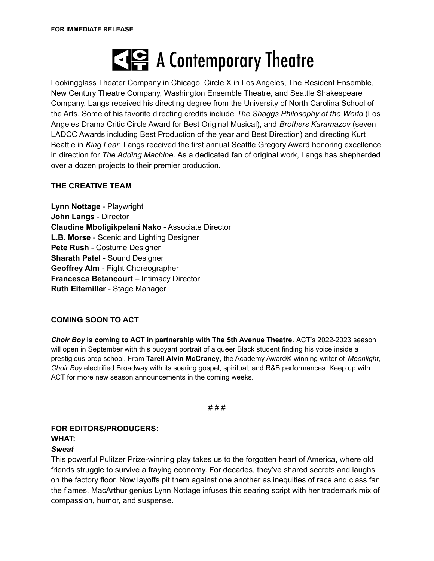# E A Contemporary Theatre

Lookingglass Theater Company in Chicago, Circle X in Los Angeles, The Resident Ensemble, New Century Theatre Company, Washington Ensemble Theatre, and Seattle Shakespeare Company. Langs received his directing degree from the University of North Carolina School of the Arts. Some of his favorite directing credits include *The Shaggs Philosophy of the World* (Los Angeles Drama Critic Circle Award for Best Original Musical), and *Brothers Karamazov* (seven LADCC Awards including Best Production of the year and Best Direction) and directing Kurt Beattie in *King Lear*. Langs received the first annual Seattle Gregory Award honoring excellence in direction for *The Adding Machine*. As a dedicated fan of original work, Langs has shepherded over a dozen projects to their premier production.

# **THE CREATIVE TEAM**

**Lynn Nottage** - Playwright **John Langs** - Director **Claudine Mboligikpelani Nako** - Associate Director **L.B. Morse** - Scenic and Lighting Designer **Pete Rush** - Costume Designer **Sharath Patel** - Sound Designer **Geoffrey Alm** - Fight Choreographer **Francesca Betancourt** – Intimacy Director **Ruth Eitemiller** - Stage Manager

# **COMING SOON TO ACT**

*Choir Boy* **is coming to ACT in partnership with The 5th Avenue Theatre.** ACT's 2022-2023 season will open in September with this buoyant portrait of a queer Black student finding his voice inside a prestigious prep school. From **Tarell Alvin McCraney**, the Academy Award®-winning writer of *Moonlight*, *Choir Boy* electrified Broadway with its soaring gospel, spiritual, and R&B performances. Keep up with ACT for more new season announcements in the coming weeks.

# # #

#### **FOR EDITORS/PRODUCERS: WHAT:**

#### *Sweat*

This powerful Pulitzer Prize-winning play takes us to the forgotten heart of America, where old friends struggle to survive a fraying economy. For decades, they've shared secrets and laughs on the factory floor. Now layoffs pit them against one another as inequities of race and class fan the flames. MacArthur genius Lynn Nottage infuses this searing script with her trademark mix of compassion, humor, and suspense.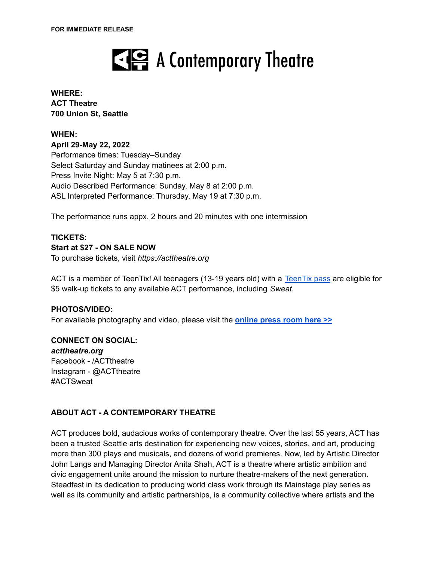

#### **WHERE: ACT Theatre 700 Union St, Seattle**

#### **WHEN:**

**April 29-May 22, 2022** Performance times: Tuesday–Sunday Select Saturday and Sunday matinees at 2:00 p.m. Press Invite Night: May 5 at 7:30 p.m. Audio Described Performance: Sunday, May 8 at 2:00 p.m. ASL Interpreted Performance: Thursday, May 19 at 7:30 p.m.

The performance runs appx. 2 hours and 20 minutes with one intermission

# **TICKETS:**

#### **Start at \$27 - ON SALE NOW**

To purchase tickets, visit *https://acttheatre.org*

ACT is a member of [TeenTix](https://www.teentix.org/)! All teenagers (13-19 years old) with a TeenTix pass are eligible for \$5 walk-up tickets to any available ACT performance, including *Sweat*.

#### **PHOTOS/VIDEO:**

For available photography and video, please visit the **[online](https://drive.google.com/drive/folders/1XEi3V0E1_3XRJoRhjM5s9OahY9IYRxVK?usp=sharing) press room here >>**

#### **CONNECT ON SOCIAL:**

*acttheatre.org* Facebook - /ACTtheatre Instagram - @ACTtheatre #ACTSweat

# **ABOUT ACT - A CONTEMPORARY THEATRE**

ACT produces bold, audacious works of contemporary theatre. Over the last 55 years, ACT has been a trusted Seattle arts destination for experiencing new voices, stories, and art, producing more than 300 plays and musicals, and dozens of world premieres. Now, led by Artistic Director John Langs and Managing Director Anita Shah, ACT is a theatre where artistic ambition and civic engagement unite around the mission to nurture theatre-makers of the next generation. Steadfast in its dedication to producing world class work through its Mainstage play series as well as its community and artistic partnerships, is a community collective where artists and the